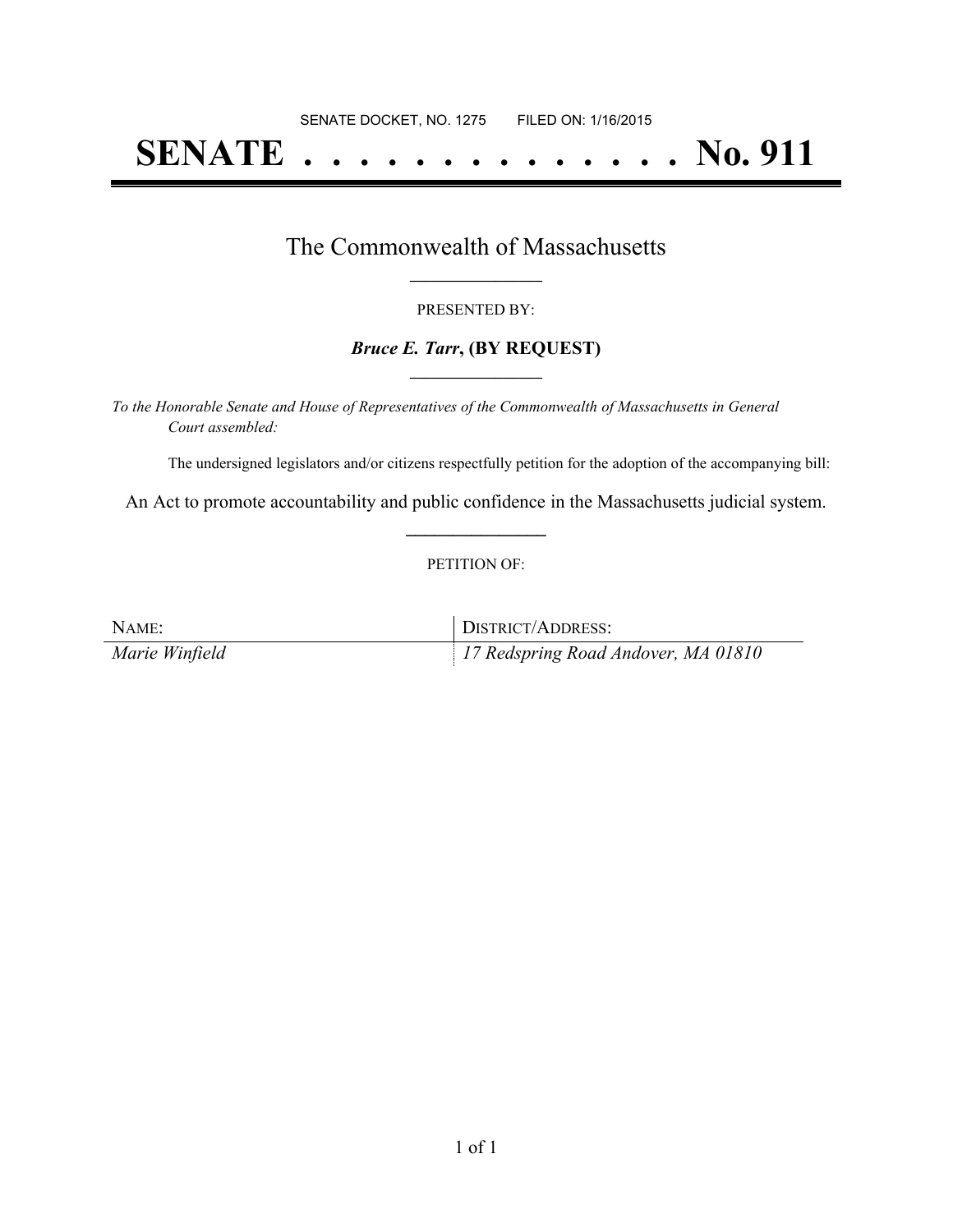# **SENATE . . . . . . . . . . . . . . No. 911**

### The Commonwealth of Massachusetts **\_\_\_\_\_\_\_\_\_\_\_\_\_\_\_\_\_**

#### PRESENTED BY:

#### *Bruce E. Tarr***, (BY REQUEST) \_\_\_\_\_\_\_\_\_\_\_\_\_\_\_\_\_**

*To the Honorable Senate and House of Representatives of the Commonwealth of Massachusetts in General Court assembled:*

The undersigned legislators and/or citizens respectfully petition for the adoption of the accompanying bill:

An Act to promote accountability and public confidence in the Massachusetts judicial system. **\_\_\_\_\_\_\_\_\_\_\_\_\_\_\_**

#### PETITION OF:

| NAME:          | DISTRICT/ADDRESS:                   |
|----------------|-------------------------------------|
| Marie Winfield | 17 Redspring Road Andover, MA 01810 |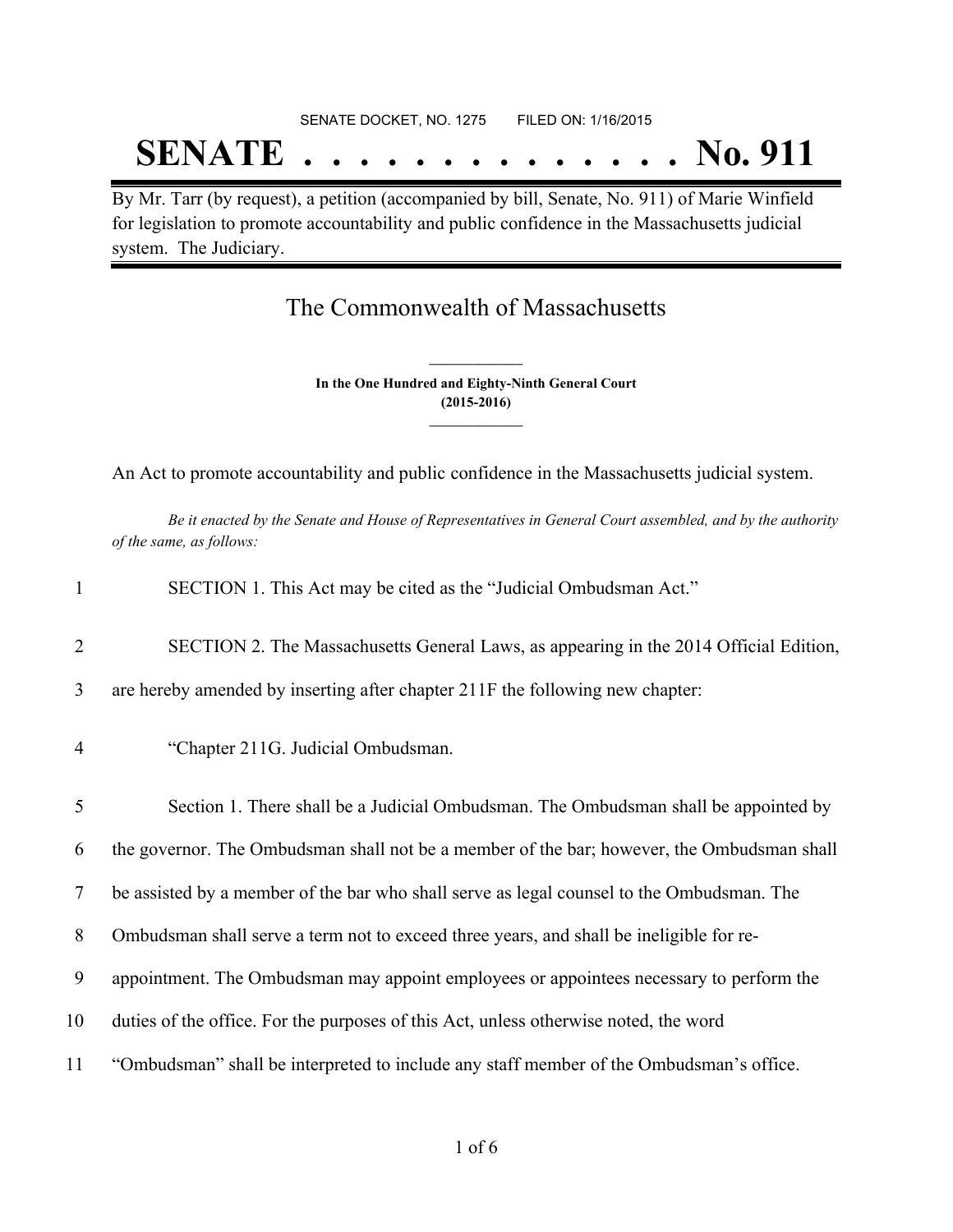# SENATE DOCKET, NO. 1275 FILED ON: 1/16/2015 **SENATE . . . . . . . . . . . . . . No. 911**

By Mr. Tarr (by request), a petition (accompanied by bill, Senate, No. 911) of Marie Winfield for legislation to promote accountability and public confidence in the Massachusetts judicial system. The Judiciary.

## The Commonwealth of Massachusetts

**In the One Hundred and Eighty-Ninth General Court (2015-2016) \_\_\_\_\_\_\_\_\_\_\_\_\_\_\_**

**\_\_\_\_\_\_\_\_\_\_\_\_\_\_\_**

An Act to promote accountability and public confidence in the Massachusetts judicial system.

Be it enacted by the Senate and House of Representatives in General Court assembled, and by the authority *of the same, as follows:*

| $\mathbf{1}$   | SECTION 1. This Act may be cited as the "Judicial Ombudsman Act."                          |
|----------------|--------------------------------------------------------------------------------------------|
| $\overline{2}$ | SECTION 2. The Massachusetts General Laws, as appearing in the 2014 Official Edition,      |
| 3              | are hereby amended by inserting after chapter 211F the following new chapter:              |
| $\overline{4}$ | "Chapter 211G. Judicial Ombudsman.                                                         |
| 5              | Section 1. There shall be a Judicial Ombudsman. The Ombudsman shall be appointed by        |
| 6              | the governor. The Ombudsman shall not be a member of the bar; however, the Ombudsman shall |
| 7              | be assisted by a member of the bar who shall serve as legal counsel to the Ombudsman. The  |
| 8              | Ombudsman shall serve a term not to exceed three years, and shall be ineligible for re-    |
| 9              | appointment. The Ombudsman may appoint employees or appointees necessary to perform the    |
| 10             | duties of the office. For the purposes of this Act, unless otherwise noted, the word       |
| 11             | "Ombudsman" shall be interpreted to include any staff member of the Ombudsman's office.    |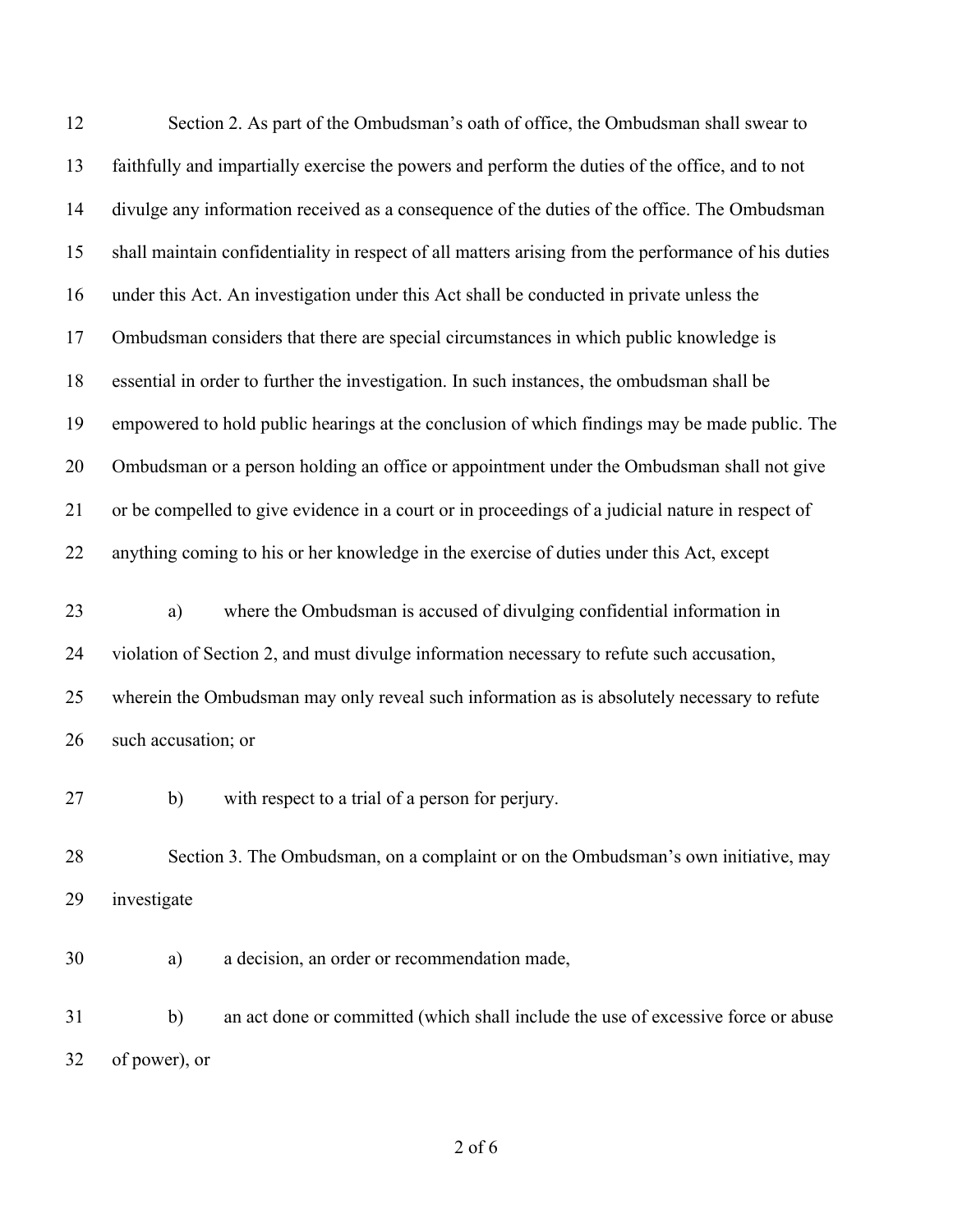| 12 | Section 2. As part of the Ombudsman's oath of office, the Ombudsman shall swear to                  |
|----|-----------------------------------------------------------------------------------------------------|
| 13 | faithfully and impartially exercise the powers and perform the duties of the office, and to not     |
| 14 | divulge any information received as a consequence of the duties of the office. The Ombudsman        |
| 15 | shall maintain confidentiality in respect of all matters arising from the performance of his duties |
| 16 | under this Act. An investigation under this Act shall be conducted in private unless the            |
| 17 | Ombudsman considers that there are special circumstances in which public knowledge is               |
| 18 | essential in order to further the investigation. In such instances, the ombudsman shall be          |
| 19 | empowered to hold public hearings at the conclusion of which findings may be made public. The       |
| 20 | Ombudsman or a person holding an office or appointment under the Ombudsman shall not give           |
| 21 | or be compelled to give evidence in a court or in proceedings of a judicial nature in respect of    |
| 22 | anything coming to his or her knowledge in the exercise of duties under this Act, except            |
| 23 | where the Ombudsman is accused of divulging confidential information in<br>a)                       |
| 24 | violation of Section 2, and must divulge information necessary to refute such accusation,           |
| 25 | wherein the Ombudsman may only reveal such information as is absolutely necessary to refute         |
| 26 | such accusation; or                                                                                 |
| 27 | with respect to a trial of a person for perjury.<br>b)                                              |
| 28 | Section 3. The Ombudsman, on a complaint or on the Ombudsman's own initiative, may                  |
| 29 | investigate                                                                                         |
| 30 | a decision, an order or recommendation made,<br>a)                                                  |
| 31 | an act done or committed (which shall include the use of excessive force or abuse<br>$\mathbf{b}$   |
| 32 | of power), or                                                                                       |
|    |                                                                                                     |

of 6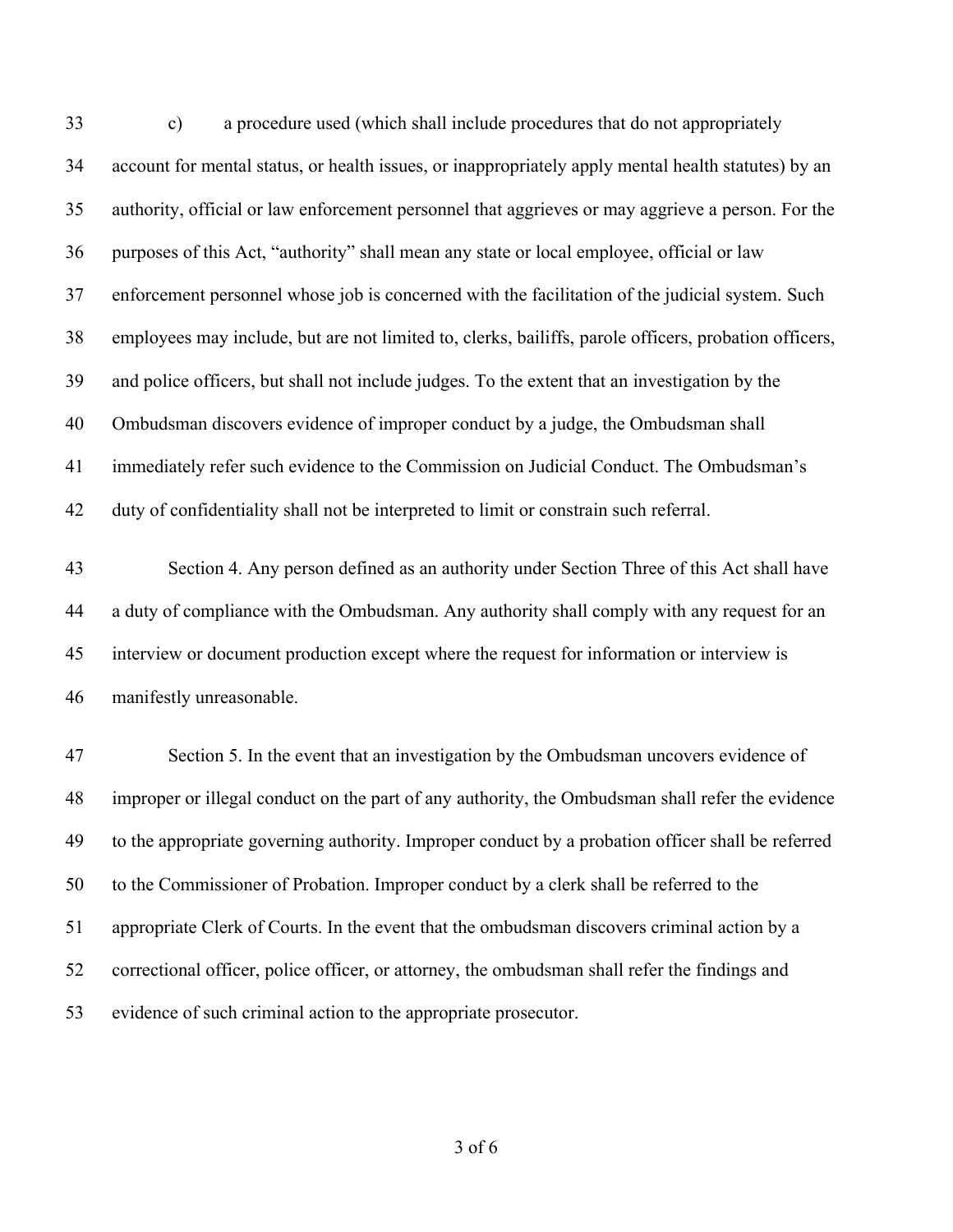c) a procedure used (which shall include procedures that do not appropriately account for mental status, or health issues, or inappropriately apply mental health statutes) by an authority, official or law enforcement personnel that aggrieves or may aggrieve a person. For the purposes of this Act, "authority" shall mean any state or local employee, official or law enforcement personnel whose job is concerned with the facilitation of the judicial system. Such employees may include, but are not limited to, clerks, bailiffs, parole officers, probation officers, and police officers, but shall not include judges. To the extent that an investigation by the Ombudsman discovers evidence of improper conduct by a judge, the Ombudsman shall immediately refer such evidence to the Commission on Judicial Conduct. The Ombudsman's duty of confidentiality shall not be interpreted to limit or constrain such referral.

 Section 4. Any person defined as an authority under Section Three of this Act shall have a duty of compliance with the Ombudsman. Any authority shall comply with any request for an interview or document production except where the request for information or interview is manifestly unreasonable.

 Section 5. In the event that an investigation by the Ombudsman uncovers evidence of improper or illegal conduct on the part of any authority, the Ombudsman shall refer the evidence to the appropriate governing authority. Improper conduct by a probation officer shall be referred to the Commissioner of Probation. Improper conduct by a clerk shall be referred to the appropriate Clerk of Courts. In the event that the ombudsman discovers criminal action by a correctional officer, police officer, or attorney, the ombudsman shall refer the findings and evidence of such criminal action to the appropriate prosecutor.

of 6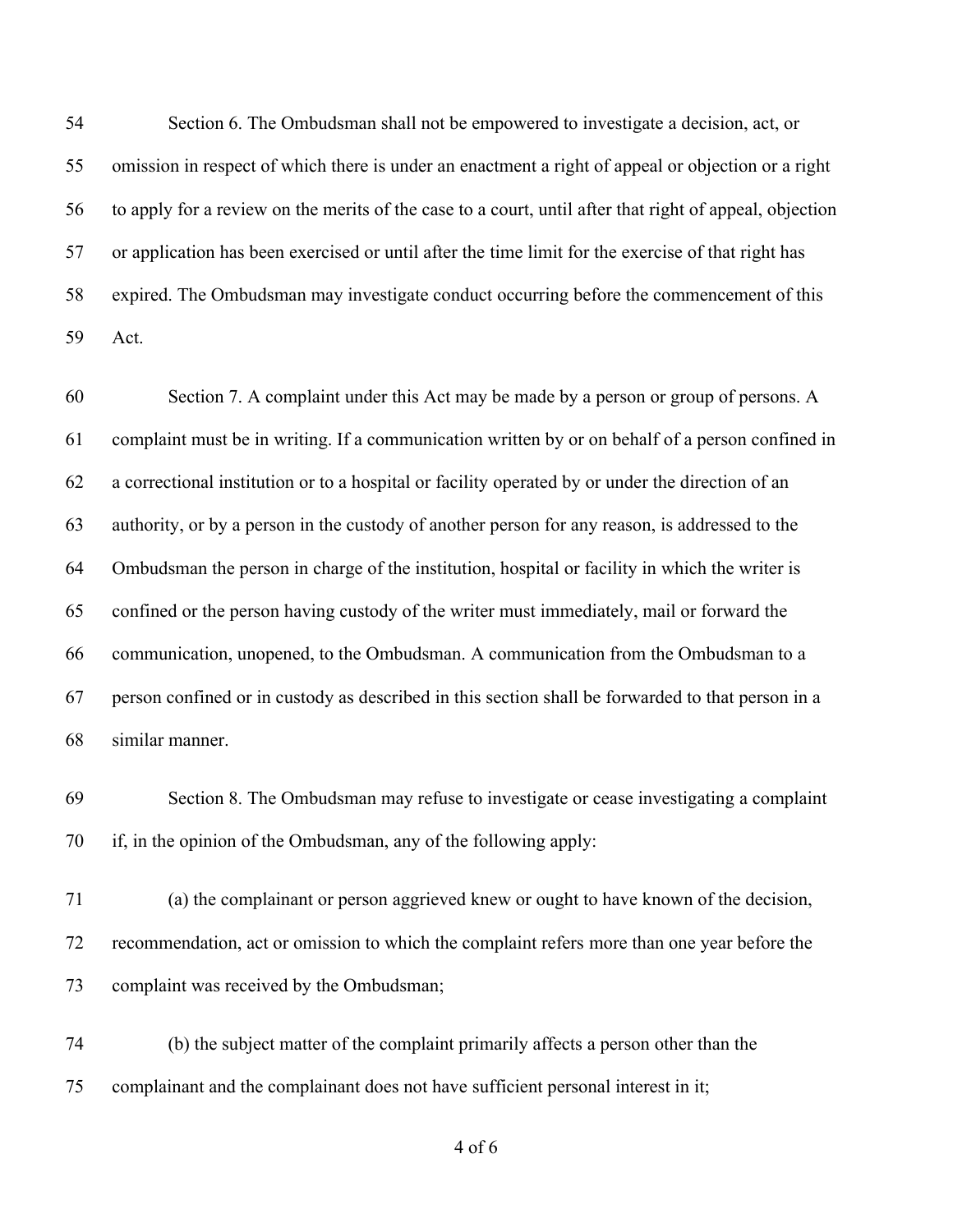Section 6. The Ombudsman shall not be empowered to investigate a decision, act, or omission in respect of which there is under an enactment a right of appeal or objection or a right to apply for a review on the merits of the case to a court, until after that right of appeal, objection or application has been exercised or until after the time limit for the exercise of that right has expired. The Ombudsman may investigate conduct occurring before the commencement of this Act.

 Section 7. A complaint under this Act may be made by a person or group of persons. A complaint must be in writing. If a communication written by or on behalf of a person confined in a correctional institution or to a hospital or facility operated by or under the direction of an authority, or by a person in the custody of another person for any reason, is addressed to the Ombudsman the person in charge of the institution, hospital or facility in which the writer is confined or the person having custody of the writer must immediately, mail or forward the communication, unopened, to the Ombudsman. A communication from the Ombudsman to a person confined or in custody as described in this section shall be forwarded to that person in a similar manner.

 Section 8. The Ombudsman may refuse to investigate or cease investigating a complaint if, in the opinion of the Ombudsman, any of the following apply:

 (a) the complainant or person aggrieved knew or ought to have known of the decision, recommendation, act or omission to which the complaint refers more than one year before the complaint was received by the Ombudsman;

 (b) the subject matter of the complaint primarily affects a person other than the complainant and the complainant does not have sufficient personal interest in it;

of 6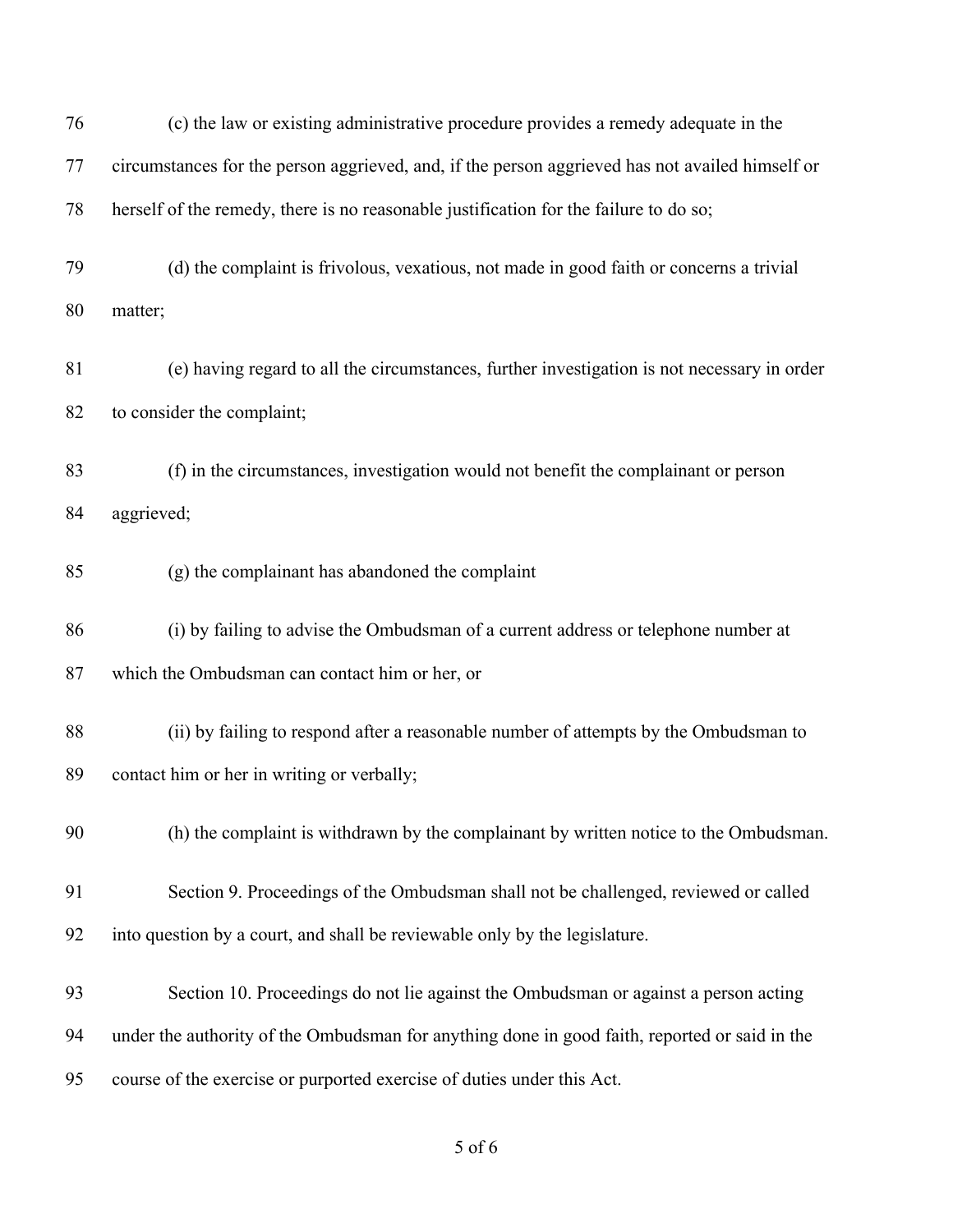| 76 | (c) the law or existing administrative procedure provides a remedy adequate in the              |
|----|-------------------------------------------------------------------------------------------------|
| 77 | circumstances for the person aggrieved, and, if the person aggrieved has not availed himself or |
| 78 | herself of the remedy, there is no reasonable justification for the failure to do so;           |
| 79 | (d) the complaint is frivolous, vexatious, not made in good faith or concerns a trivial         |
| 80 | matter;                                                                                         |
| 81 | (e) having regard to all the circumstances, further investigation is not necessary in order     |
| 82 | to consider the complaint;                                                                      |
| 83 | (f) in the circumstances, investigation would not benefit the complainant or person             |
| 84 | aggrieved;                                                                                      |
| 85 | (g) the complainant has abandoned the complaint                                                 |
| 86 | (i) by failing to advise the Ombudsman of a current address or telephone number at              |
| 87 | which the Ombudsman can contact him or her, or                                                  |
| 88 | (ii) by failing to respond after a reasonable number of attempts by the Ombudsman to            |
| 89 | contact him or her in writing or verbally;                                                      |
| 90 | (h) the complaint is withdrawn by the complainant by written notice to the Ombudsman.           |
| 91 | Section 9. Proceedings of the Ombudsman shall not be challenged, reviewed or called             |
| 92 | into question by a court, and shall be reviewable only by the legislature.                      |
| 93 | Section 10. Proceedings do not lie against the Ombudsman or against a person acting             |
| 94 | under the authority of the Ombudsman for anything done in good faith, reported or said in the   |
| 95 | course of the exercise or purported exercise of duties under this Act.                          |